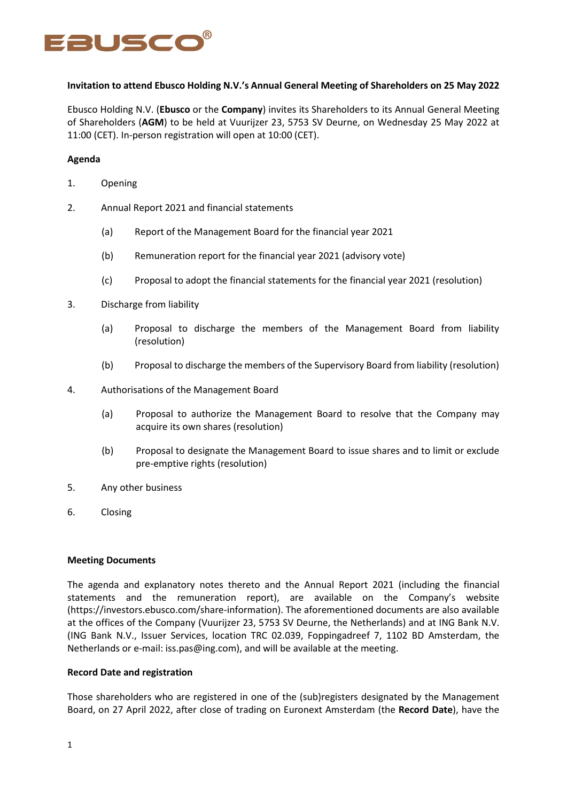

# **Invitation to attend Ebusco Holding N.V.'s Annual General Meeting of Shareholders on 25 May 2022**

Ebusco Holding N.V. (**Ebusco** or the **Company**) invites its Shareholders to its Annual General Meeting of Shareholders (**AGM**) to be held at Vuurijzer 23, 5753 SV Deurne, on Wednesday 25 May 2022 at 11:00 (CET). In-person registration will open at 10:00 (CET).

## **Agenda**

- 1. Opening
- 2. Annual Report 2021 and financial statements
	- (a) Report of the Management Board for the financial year 2021
	- (b) Remuneration report for the financial year 2021 (advisory vote)
	- (c) Proposal to adopt the financial statements for the financial year 2021 (resolution)
- 3. Discharge from liability
	- (a) Proposal to discharge the members of the Management Board from liability (resolution)
	- (b) Proposal to discharge the members of the Supervisory Board from liability (resolution)
- 4. Authorisations of the Management Board
	- (a) Proposal to authorize the Management Board to resolve that the Company may acquire its own shares (resolution)
	- (b) Proposal to designate the Management Board to issue shares and to limit or exclude pre-emptive rights (resolution)
- 5. Any other business
- 6. Closing

#### **Meeting Documents**

The agenda and explanatory notes thereto and the Annual Report 2021 (including the financial statements and the remuneration report), are available on the Company's website (https://investors.ebusco.com/share-information). The aforementioned documents are also available at the offices of the Company (Vuurijzer 23, 5753 SV Deurne, the Netherlands) and at ING Bank N.V. (ING Bank N.V., Issuer Services, location TRC 02.039, Foppingadreef 7, 1102 BD Amsterdam, the Netherlands or e-mail: iss.pas@ing.com), and will be available at the meeting.

#### **Record Date and registration**

Those shareholders who are registered in one of the (sub)registers designated by the Management Board, on 27 April 2022, after close of trading on Euronext Amsterdam (the **Record Date**), have the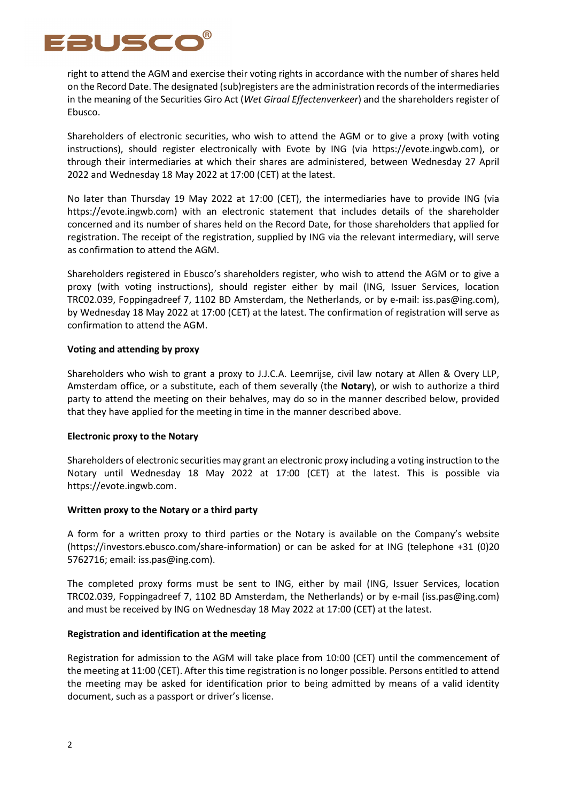

right to attend the AGM and exercise their voting rights in accordance with the number of shares held on the Record Date. The designated (sub)registers are the administration records of the intermediaries in the meaning of the Securities Giro Act (*Wet Giraal Effectenverkeer*) and the shareholders register of Ebusco.

Shareholders of electronic securities, who wish to attend the AGM or to give a proxy (with voting instructions), should register electronically with Evote by ING (via https://evote.ingwb.com), or through their intermediaries at which their shares are administered, between Wednesday 27 April 2022 and Wednesday 18 May 2022 at 17:00 (CET) at the latest.

No later than Thursday 19 May 2022 at 17:00 (CET), the intermediaries have to provide ING (via https://evote.ingwb.com) with an electronic statement that includes details of the shareholder concerned and its number of shares held on the Record Date, for those shareholders that applied for registration. The receipt of the registration, supplied by ING via the relevant intermediary, will serve as confirmation to attend the AGM.

Shareholders registered in Ebusco's shareholders register, who wish to attend the AGM or to give a proxy (with voting instructions), should register either by mail (ING, Issuer Services, location TRC02.039, Foppingadreef 7, 1102 BD Amsterdam, the Netherlands, or by e-mail: iss.pas@ing.com), by Wednesday 18 May 2022 at 17:00 (CET) at the latest. The confirmation of registration will serve as confirmation to attend the AGM.

# **Voting and attending by proxy**

Shareholders who wish to grant a proxy to J.J.C.A. Leemrijse, civil law notary at Allen & Overy LLP, Amsterdam office, or a substitute, each of them severally (the **Notary**), or wish to authorize a third party to attend the meeting on their behalves, may do so in the manner described below, provided that they have applied for the meeting in time in the manner described above.

#### **Electronic proxy to the Notary**

Shareholders of electronic securities may grant an electronic proxy including a voting instruction to the Notary until Wednesday 18 May 2022 at 17:00 (CET) at the latest. This is possible via https://evote.ingwb.com.

#### **Written proxy to the Notary or a third party**

A form for a written proxy to third parties or the Notary is available on the Company's website (https://investors.ebusco.com/share-information) or can be asked for at ING (telephone +31 (0)20 5762716; email: iss.pas@ing.com).

The completed proxy forms must be sent to ING, either by mail (ING, Issuer Services, location TRC02.039, Foppingadreef 7, 1102 BD Amsterdam, the Netherlands) or by e-mail (iss.pas@ing.com) and must be received by ING on Wednesday 18 May 2022 at 17:00 (CET) at the latest.

# **Registration and identification at the meeting**

Registration for admission to the AGM will take place from 10:00 (CET) until the commencement of the meeting at 11:00 (CET). After this time registration is no longer possible. Persons entitled to attend the meeting may be asked for identification prior to being admitted by means of a valid identity document, such as a passport or driver's license.